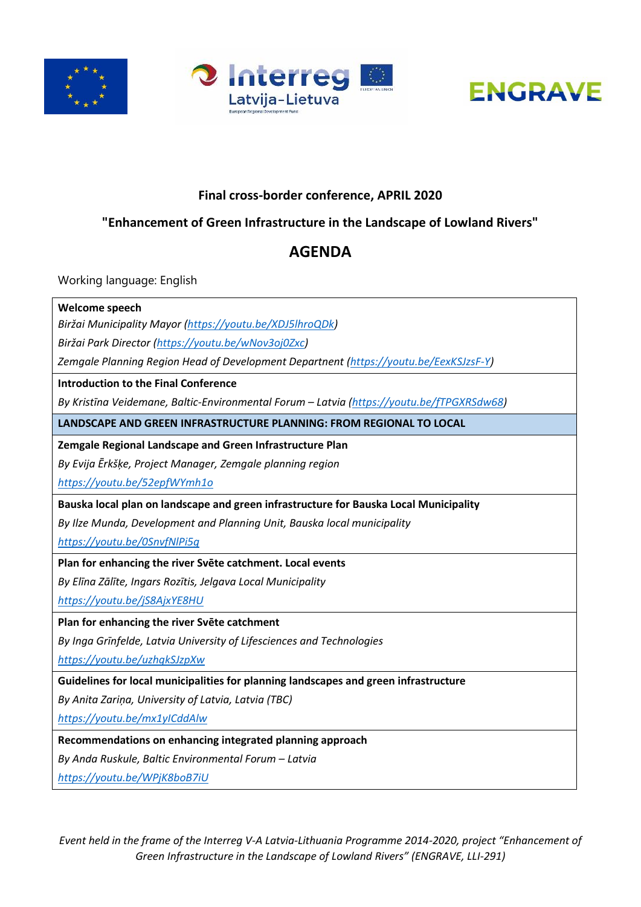





# **Final cross-border conference, APRIL 2020**

# **"Enhancement of Green Infrastructure in the Landscape of Lowland Rivers"**

# **AGENDA**

Working language: English

## **Welcome speech**

*Biržai Municipality Mayor [\(https://youtu.be/XDJ5lhroQDk\)](https://youtu.be/XDJ5lhroQDk)* 

*Biržai Park Director [\(https://youtu.be/wNov3oj0Zxc\)](https://youtu.be/wNov3oj0Zxc)* 

*Zemgale Planning Region Head of Development Departnent [\(https://youtu.be/EexKSJzsF-Y\)](https://youtu.be/EexKSJzsF-Y)* 

#### **Introduction to the Final Conference**

*By Kristīna Veidemane, Baltic-Environmental Forum – Latvia [\(https://youtu.be/fTPGXRSdw68\)](https://youtu.be/fTPGXRSdw68)* 

**LANDSCAPE AND GREEN INFRASTRUCTURE PLANNING: FROM REGIONAL TO LOCAL**

**Zemgale Regional Landscape and Green Infrastructure Plan**

*By Evija Ērkšķe, Project Manager, Zemgale planning region* 

*<https://youtu.be/52epfWYmh1o>*

**Bauska local plan on landscape and green infrastructure for Bauska Local Municipality**

*By Ilze Munda, Development and Planning Unit, Bauska local municipality* 

*<https://youtu.be/0SnvfNlPi5g>*

**Plan for enhancing the river Svēte catchment. Local events**

*By Elīna Zālīte, Ingars Rozītis, Jelgava Local Municipality*

*<https://youtu.be/jS8AjxYE8HU>*

**Plan for enhancing the river Svēte catchment** 

*By Inga Grīnfelde, Latvia University of Lifesciences and Technologies*

*<https://youtu.be/uzhqkSJzpXw>*

**Guidelines for local municipalities for planning landscapes and green infrastructure**

*By Anita Zariņa, University of Latvia, Latvia (TBC)*

*<https://youtu.be/mx1yICddAlw>*

**Recommendations on enhancing integrated planning approach**

*By Anda Ruskule, Baltic Environmental Forum – Latvia*

*<https://youtu.be/WPjK8boB7iU>*

*Event held in the frame of the Interreg V-A Latvia-Lithuania Programme 2014-2020, project "Enhancement of Green Infrastructure in the Landscape of Lowland Rivers" (ENGRAVE, LLI-291)*